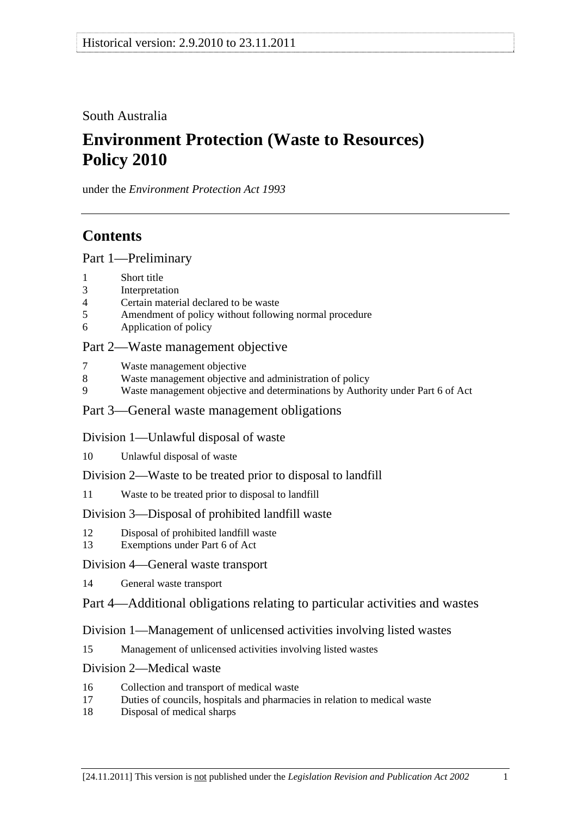South Australia

# **Environment Protection (Waste to Resources) Policy 2010**

under the *Environment Protection Act 1993*

# **Contents**

[Part 1—Preliminary](#page-1-0)

- [1 Short title](#page-1-0)
- [3 Interpretation](#page-1-0)
- [4 Certain material declared to be waste](#page-5-0)
- [5 Amendment of policy without following normal procedure](#page-5-0)
- [6 Application of policy](#page-6-0)

# [Part 2—Waste management objective](#page-6-0)

- [7 Waste management objective](#page-6-0)
- [8 Waste management objective and administration of policy](#page-7-0)
- [9 Waste management objective and determinations by Authority under Part 6 of Act](#page-7-0)

## [Part 3—General waste management obligations](#page-7-0)

## [Division 1—Unlawful disposal of waste](#page-7-0)

- [10 Unlawful disposal of waste](#page-7-0)
- [Division 2—Waste to be treated prior to disposal to landfill](#page-9-0)
- [11 Waste to be treated prior to disposal to landfill](#page-9-0)

# [Division 3—Disposal of prohibited landfill waste](#page-10-0)

- [12 Disposal of prohibited landfill waste](#page-10-0)
- [13 Exemptions under Part 6 of Act](#page-11-0)

## [Division 4—General waste transport](#page-11-0)

[14 General waste transport](#page-11-0)

# [Part 4—Additional obligations relating to particular activities and wastes](#page-12-0)

# [Division 1—Management of unlicensed activities involving listed wastes](#page-12-0)

[15 Management of unlicensed activities involving listed wastes](#page-12-0)

## [Division 2—Medical waste](#page-12-0)

- [16 Collection and transport of medical waste](#page-12-0)
- [17 Duties of councils, hospitals and pharmacies in relation to medical waste](#page-13-0)
- [18 Disposal of medical sharps](#page-14-0)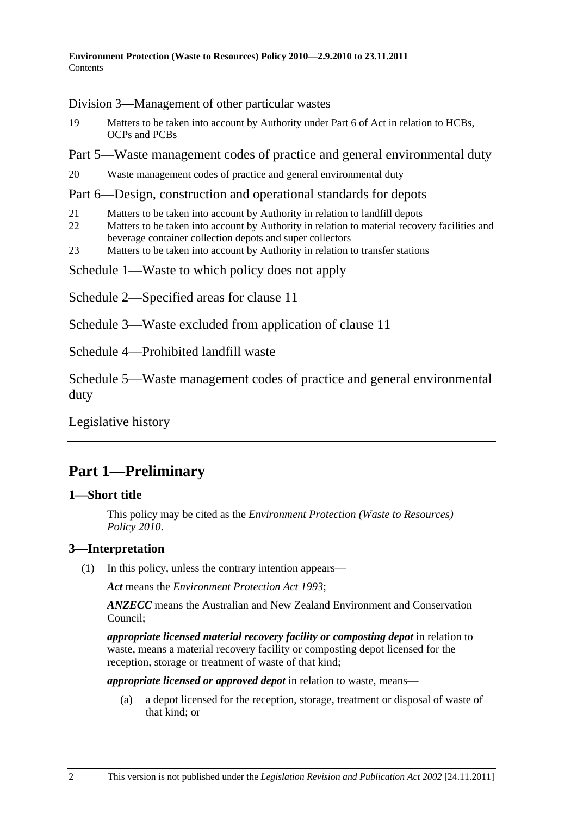<span id="page-1-0"></span>[Division 3—Management of other particular wastes](#page-14-0)

- [19 Matters to be taken into account by Authority under Part 6 of Act in relation to HCBs,](#page-14-0)  [OCPs and PCBs](#page-14-0)
- [Part 5—Waste management codes of practice and general environmental duty](#page-15-0)

[20 Waste management codes of practice and general environmental duty](#page-15-0) 

### [Part 6—Design, construction and operational standards for depots](#page-16-0)

- [21 Matters to be taken into account by Authority in relation to landfill depots](#page-16-0)
- 22 Matters to be taken into account by Authority in relation to material recovery facilities and [beverage container collection depots and super collectors](#page-16-0)
- [23 Matters to be taken into account by Authority in relation to transfer stations](#page-16-0)

[Schedule 1—Waste to which policy does not apply](#page-17-0) 

- Schedule 2—Specified areas for clause 11
- Schedule 3—Waste excluded from application of clause 11

Schedule 4—Prohibited landfill waste

Schedule 5—Waste management codes of practice and general environmental duty

Legislative history

# **Part 1—Preliminary**

## **1—Short title**

This policy may be cited as the *Environment Protection (Waste to Resources) Policy 2010*.

## **3—Interpretation**

(1) In this policy, unless the contrary intention appears—

*Act* means the *Environment Protection Act 1993*;

*ANZECC* means the Australian and New Zealand Environment and Conservation Council;

*appropriate licensed material recovery facility or composting depot* in relation to waste, means a material recovery facility or composting depot licensed for the reception, storage or treatment of waste of that kind;

*appropriate licensed or approved depot* in relation to waste, means—

 (a) a depot licensed for the reception, storage, treatment or disposal of waste of that kind; or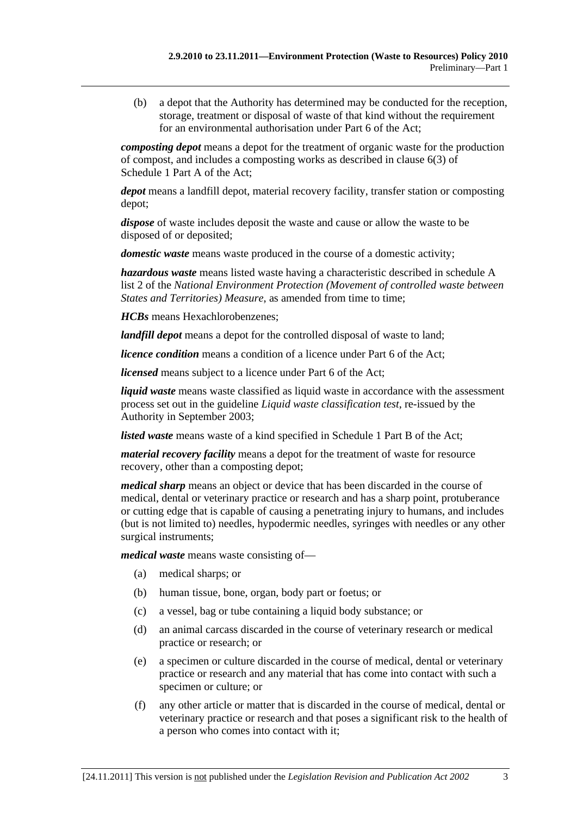(b) a depot that the Authority has determined may be conducted for the reception, storage, treatment or disposal of waste of that kind without the requirement for an environmental authorisation under Part 6 of the Act;

*composting depot* means a depot for the treatment of organic waste for the production of compost, and includes a composting works as described in clause 6(3) of Schedule 1 Part A of the Act;

*depot* means a landfill depot, material recovery facility, transfer station or composting depot;

*dispose* of waste includes deposit the waste and cause or allow the waste to be disposed of or deposited;

*domestic waste* means waste produced in the course of a domestic activity;

*hazardous waste* means listed waste having a characteristic described in schedule A list 2 of the *National Environment Protection (Movement of controlled waste between States and Territories) Measure*, as amended from time to time;

*HCBs* means Hexachlorobenzenes;

*landfill depot* means a depot for the controlled disposal of waste to land;

*licence condition* means a condition of a licence under Part 6 of the Act;

*licensed* means subject to a licence under Part 6 of the Act:

*liquid waste* means waste classified as liquid waste in accordance with the assessment process set out in the guideline *Liquid waste classification test*, re-issued by the Authority in September 2003;

*listed waste* means waste of a kind specified in Schedule 1 Part B of the Act;

*material recovery facility* means a depot for the treatment of waste for resource recovery, other than a composting depot;

*medical sharp* means an object or device that has been discarded in the course of medical, dental or veterinary practice or research and has a sharp point, protuberance or cutting edge that is capable of causing a penetrating injury to humans, and includes (but is not limited to) needles, hypodermic needles, syringes with needles or any other surgical instruments;

*medical waste* means waste consisting of—

- (a) medical sharps; or
- (b) human tissue, bone, organ, body part or foetus; or
- (c) a vessel, bag or tube containing a liquid body substance; or
- (d) an animal carcass discarded in the course of veterinary research or medical practice or research; or
- (e) a specimen or culture discarded in the course of medical, dental or veterinary practice or research and any material that has come into contact with such a specimen or culture; or
- (f) any other article or matter that is discarded in the course of medical, dental or veterinary practice or research and that poses a significant risk to the health of a person who comes into contact with it;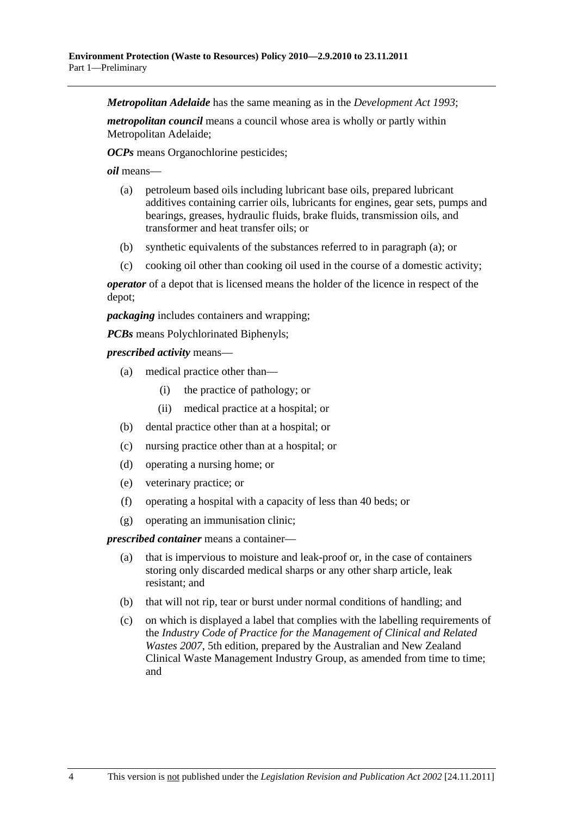*Metropolitan Adelaide* has the same meaning as in the *Development Act 1993*;

*metropolitan council* means a council whose area is wholly or partly within Metropolitan Adelaide;

*OCPs* means Organochlorine pesticides;

*oil* means—

- (a) petroleum based oils including lubricant base oils, prepared lubricant additives containing carrier oils, lubricants for engines, gear sets, pumps and bearings, greases, hydraulic fluids, brake fluids, transmission oils, and transformer and heat transfer oils; or
- (b) synthetic equivalents of the substances referred to in paragraph (a); or
- (c) cooking oil other than cooking oil used in the course of a domestic activity;

*operator* of a depot that is licensed means the holder of the licence in respect of the depot;

*packaging* includes containers and wrapping;

*PCBs* means Polychlorinated Biphenyls;

*prescribed activity* means—

- (a) medical practice other than—
	- (i) the practice of pathology; or
	- (ii) medical practice at a hospital; or
- (b) dental practice other than at a hospital; or
- (c) nursing practice other than at a hospital; or
- (d) operating a nursing home; or
- (e) veterinary practice; or
- (f) operating a hospital with a capacity of less than 40 beds; or
- (g) operating an immunisation clinic;

*prescribed container* means a container—

- (a) that is impervious to moisture and leak-proof or, in the case of containers storing only discarded medical sharps or any other sharp article, leak resistant; and
- (b) that will not rip, tear or burst under normal conditions of handling; and
- (c) on which is displayed a label that complies with the labelling requirements of the *Industry Code of Practice for the Management of Clinical and Related Wastes 2007*, 5th edition, prepared by the Australian and New Zealand Clinical Waste Management Industry Group, as amended from time to time; and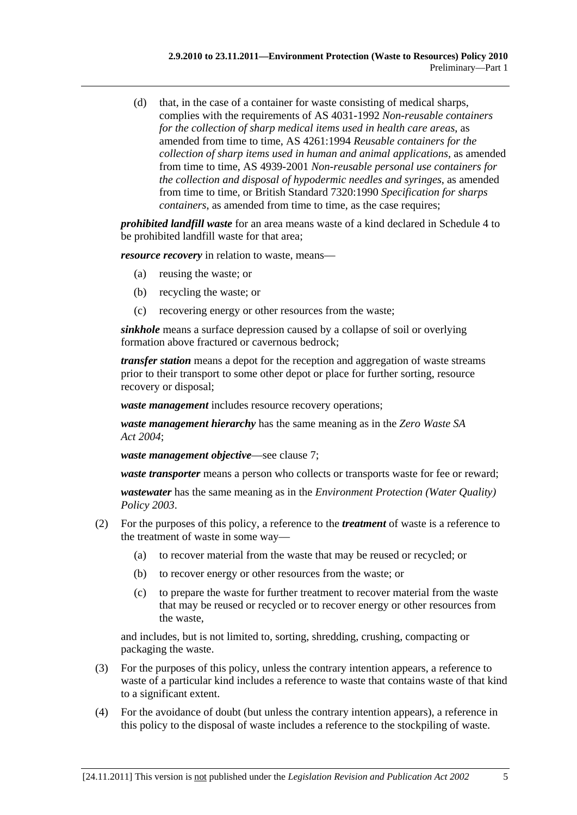(d) that, in the case of a container for waste consisting of medical sharps, complies with the requirements of AS 4031-1992 *Non-reusable containers for the collection of sharp medical items used in health care areas*, as amended from time to time, AS 4261:1994 *Reusable containers for the collection of sharp items used in human and animal applications*, as amended from time to time, AS 4939-2001 *Non-reusable personal use containers for the collection and disposal of hypodermic needles and syringes*, as amended from time to time, or British Standard 7320:1990 *Specification for sharps containers*, as amended from time to time, as the case requires;

*prohibited landfill waste* for an area means waste of a kind declared in Schedule 4 to be prohibited landfill waste for that area;

*resource recovery* in relation to waste, means—

- (a) reusing the waste; or
- (b) recycling the waste; or
- (c) recovering energy or other resources from the waste;

*sinkhole* means a surface depression caused by a collapse of soil or overlying formation above fractured or cavernous bedrock;

*transfer station* means a depot for the reception and aggregation of waste streams prior to their transport to some other depot or place for further sorting, resource recovery or disposal;

*waste management* includes resource recovery operations;

*waste management hierarchy* has the same meaning as in the *Zero Waste SA Act 2004*;

*waste management objective*—see clause 7;

*waste transporter* means a person who collects or transports waste for fee or reward;

*wastewater* has the same meaning as in the *Environment Protection (Water Quality) Policy 2003*.

- (2) For the purposes of this policy, a reference to the *treatment* of waste is a reference to the treatment of waste in some way—
	- (a) to recover material from the waste that may be reused or recycled; or
	- (b) to recover energy or other resources from the waste; or
	- (c) to prepare the waste for further treatment to recover material from the waste that may be reused or recycled or to recover energy or other resources from the waste,

and includes, but is not limited to, sorting, shredding, crushing, compacting or packaging the waste.

- (3) For the purposes of this policy, unless the contrary intention appears, a reference to waste of a particular kind includes a reference to waste that contains waste of that kind to a significant extent.
- (4) For the avoidance of doubt (but unless the contrary intention appears), a reference in this policy to the disposal of waste includes a reference to the stockpiling of waste.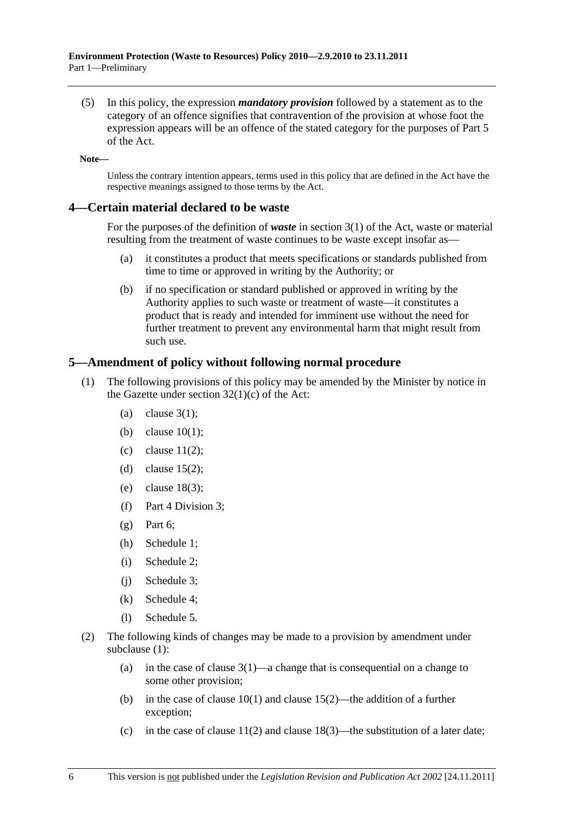<span id="page-5-0"></span> (5) In this policy, the expression *mandatory provision* followed by a statement as to the category of an offence signifies that contravention of the provision at whose foot the expression appears will be an offence of the stated category for the purposes of Part 5 of the Act.

**Note—** 

Unless the contrary intention appears, terms used in this policy that are defined in the Act have the respective meanings assigned to those terms by the Act.

### **4—Certain material declared to be waste**

For the purposes of the definition of *waste* in section 3(1) of the Act, waste or material resulting from the treatment of waste continues to be waste except insofar as—

- (a) it constitutes a product that meets specifications or standards published from time to time or approved in writing by the Authority; or
- (b) if no specification or standard published or approved in writing by the Authority applies to such waste or treatment of waste—it constitutes a product that is ready and intended for imminent use without the need for further treatment to prevent any environmental harm that might result from such use.

## **5—Amendment of policy without following normal procedure**

- (1) The following provisions of this policy may be amended by the Minister by notice in the Gazette under section 32(1)(c) of the Act:
	- (a) clause  $3(1)$ :
	- (b) clause 10(1);
	- (c) clause  $11(2)$ ;
	- (d) clause  $15(2)$ ;
	- (e) clause 18(3);
	- (f) Part 4 Division 3;
	- $(g)$  Part 6;
	- (h) Schedule 1;
	- (i) Schedule 2;
	- (j) Schedule 3;
	- (k) Schedule 4;
	- (l) Schedule 5.
- (2) The following kinds of changes may be made to a provision by amendment under subclause (1):
	- (a) in the case of clause  $3(1)$ —a change that is consequential on a change to some other provision;
	- (b) in the case of clause  $10(1)$  and clause  $15(2)$ —the addition of a further exception;
	- (c) in the case of clause  $11(2)$  and clause  $18(3)$ —the substitution of a later date;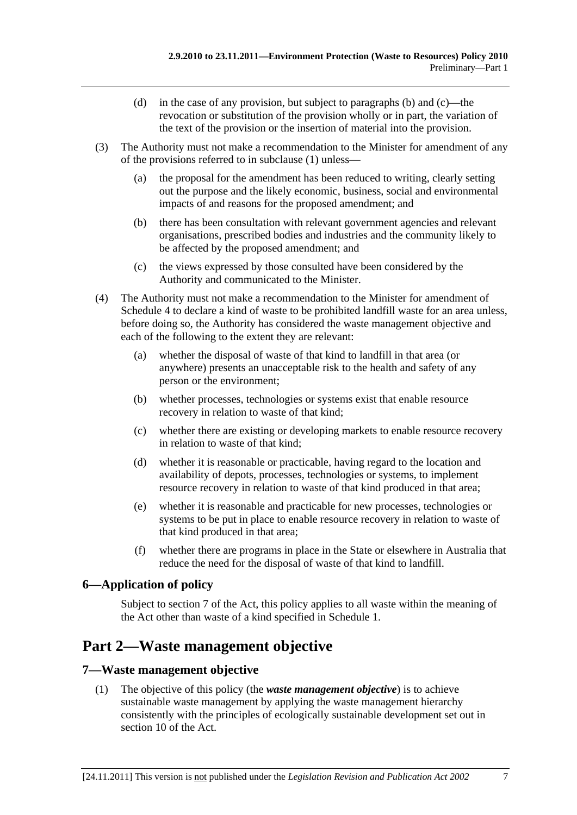- <span id="page-6-0"></span> (d) in the case of any provision, but subject to paragraphs (b) and (c)—the revocation or substitution of the provision wholly or in part, the variation of the text of the provision or the insertion of material into the provision.
- (3) The Authority must not make a recommendation to the Minister for amendment of any of the provisions referred to in subclause (1) unless—
	- (a) the proposal for the amendment has been reduced to writing, clearly setting out the purpose and the likely economic, business, social and environmental impacts of and reasons for the proposed amendment; and
	- (b) there has been consultation with relevant government agencies and relevant organisations, prescribed bodies and industries and the community likely to be affected by the proposed amendment; and
	- (c) the views expressed by those consulted have been considered by the Authority and communicated to the Minister.
- (4) The Authority must not make a recommendation to the Minister for amendment of Schedule 4 to declare a kind of waste to be prohibited landfill waste for an area unless, before doing so, the Authority has considered the waste management objective and each of the following to the extent they are relevant:
	- (a) whether the disposal of waste of that kind to landfill in that area (or anywhere) presents an unacceptable risk to the health and safety of any person or the environment;
	- (b) whether processes, technologies or systems exist that enable resource recovery in relation to waste of that kind;
	- (c) whether there are existing or developing markets to enable resource recovery in relation to waste of that kind;
	- (d) whether it is reasonable or practicable, having regard to the location and availability of depots, processes, technologies or systems, to implement resource recovery in relation to waste of that kind produced in that area;
	- (e) whether it is reasonable and practicable for new processes, technologies or systems to be put in place to enable resource recovery in relation to waste of that kind produced in that area;
	- (f) whether there are programs in place in the State or elsewhere in Australia that reduce the need for the disposal of waste of that kind to landfill.

# **6—Application of policy**

Subject to section 7 of the Act, this policy applies to all waste within the meaning of the Act other than waste of a kind specified in Schedule 1.

# **Part 2—Waste management objective**

## **7—Waste management objective**

 (1) The objective of this policy (the *waste management objective*) is to achieve sustainable waste management by applying the waste management hierarchy consistently with the principles of ecologically sustainable development set out in section 10 of the Act.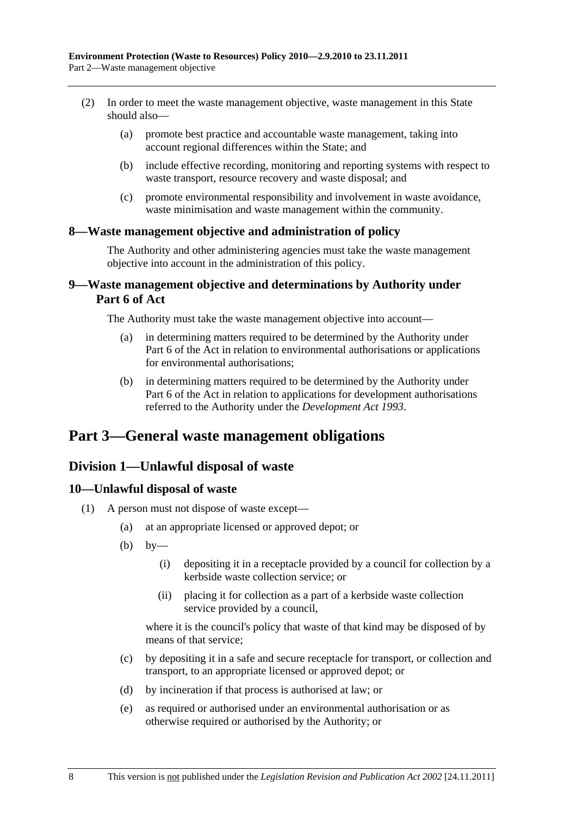- <span id="page-7-0"></span> (2) In order to meet the waste management objective, waste management in this State should also—
	- (a) promote best practice and accountable waste management, taking into account regional differences within the State; and
	- (b) include effective recording, monitoring and reporting systems with respect to waste transport, resource recovery and waste disposal; and
	- (c) promote environmental responsibility and involvement in waste avoidance, waste minimisation and waste management within the community.

## **8—Waste management objective and administration of policy**

The Authority and other administering agencies must take the waste management objective into account in the administration of this policy.

## **9—Waste management objective and determinations by Authority under Part 6 of Act**

The Authority must take the waste management objective into account—

- (a) in determining matters required to be determined by the Authority under Part 6 of the Act in relation to environmental authorisations or applications for environmental authorisations;
- (b) in determining matters required to be determined by the Authority under Part 6 of the Act in relation to applications for development authorisations referred to the Authority under the *Development Act 1993*.

# **Part 3—General waste management obligations**

# **Division 1—Unlawful disposal of waste**

## **10—Unlawful disposal of waste**

- (1) A person must not dispose of waste except—
	- (a) at an appropriate licensed or approved depot; or
	- $(b)$  by—
		- (i) depositing it in a receptacle provided by a council for collection by a kerbside waste collection service; or
		- (ii) placing it for collection as a part of a kerbside waste collection service provided by a council,

where it is the council's policy that waste of that kind may be disposed of by means of that service;

- (c) by depositing it in a safe and secure receptacle for transport, or collection and transport, to an appropriate licensed or approved depot; or
- (d) by incineration if that process is authorised at law; or
- (e) as required or authorised under an environmental authorisation or as otherwise required or authorised by the Authority; or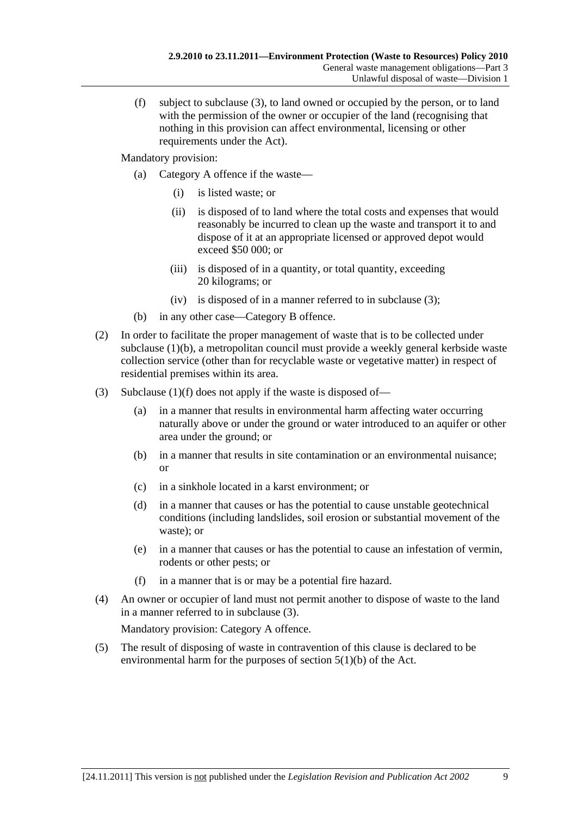(f) subject to subclause (3), to land owned or occupied by the person, or to land with the permission of the owner or occupier of the land (recognising that nothing in this provision can affect environmental, licensing or other requirements under the Act).

Mandatory provision:

- (a) Category A offence if the waste—
	- (i) is listed waste; or
	- (ii) is disposed of to land where the total costs and expenses that would reasonably be incurred to clean up the waste and transport it to and dispose of it at an appropriate licensed or approved depot would exceed \$50 000; or
	- (iii) is disposed of in a quantity, or total quantity, exceeding 20 kilograms; or
	- (iv) is disposed of in a manner referred to in subclause (3);
- (b) in any other case—Category B offence.
- (2) In order to facilitate the proper management of waste that is to be collected under subclause (1)(b), a metropolitan council must provide a weekly general kerbside waste collection service (other than for recyclable waste or vegetative matter) in respect of residential premises within its area.
- (3) Subclause  $(1)(f)$  does not apply if the waste is disposed of—
	- (a) in a manner that results in environmental harm affecting water occurring naturally above or under the ground or water introduced to an aquifer or other area under the ground; or
	- (b) in a manner that results in site contamination or an environmental nuisance; or
	- (c) in a sinkhole located in a karst environment; or
	- (d) in a manner that causes or has the potential to cause unstable geotechnical conditions (including landslides, soil erosion or substantial movement of the waste); or
	- (e) in a manner that causes or has the potential to cause an infestation of vermin, rodents or other pests; or
	- (f) in a manner that is or may be a potential fire hazard.
- (4) An owner or occupier of land must not permit another to dispose of waste to the land in a manner referred to in subclause (3).

Mandatory provision: Category A offence.

 (5) The result of disposing of waste in contravention of this clause is declared to be environmental harm for the purposes of section 5(1)(b) of the Act.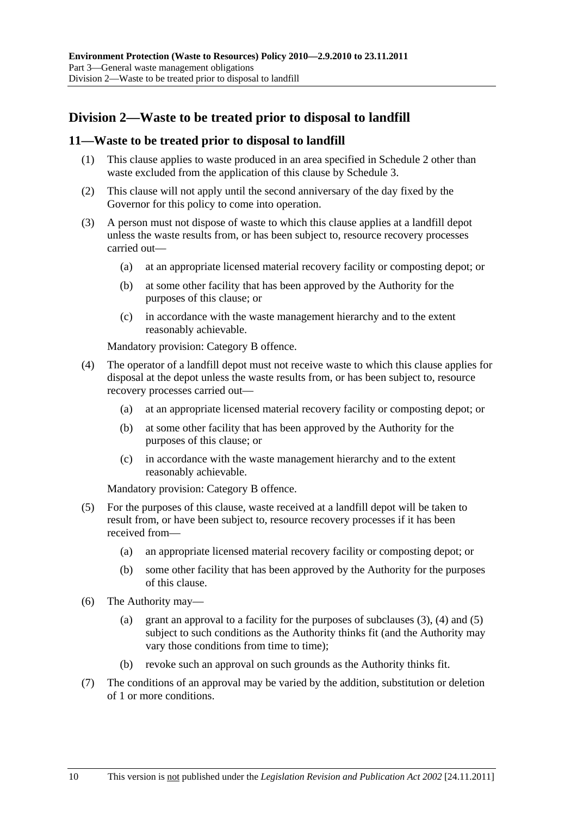# <span id="page-9-0"></span>**Division 2—Waste to be treated prior to disposal to landfill**

### **11—Waste to be treated prior to disposal to landfill**

- (1) This clause applies to waste produced in an area specified in Schedule 2 other than waste excluded from the application of this clause by Schedule 3.
- (2) This clause will not apply until the second anniversary of the day fixed by the Governor for this policy to come into operation.
- (3) A person must not dispose of waste to which this clause applies at a landfill depot unless the waste results from, or has been subject to, resource recovery processes carried out—
	- (a) at an appropriate licensed material recovery facility or composting depot; or
	- (b) at some other facility that has been approved by the Authority for the purposes of this clause; or
	- (c) in accordance with the waste management hierarchy and to the extent reasonably achievable.

Mandatory provision: Category B offence.

- (4) The operator of a landfill depot must not receive waste to which this clause applies for disposal at the depot unless the waste results from, or has been subject to, resource recovery processes carried out—
	- (a) at an appropriate licensed material recovery facility or composting depot; or
	- (b) at some other facility that has been approved by the Authority for the purposes of this clause; or
	- (c) in accordance with the waste management hierarchy and to the extent reasonably achievable.

Mandatory provision: Category B offence.

- (5) For the purposes of this clause, waste received at a landfill depot will be taken to result from, or have been subject to, resource recovery processes if it has been received from—
	- (a) an appropriate licensed material recovery facility or composting depot; or
	- (b) some other facility that has been approved by the Authority for the purposes of this clause.
- (6) The Authority may—
	- (a) grant an approval to a facility for the purposes of subclauses (3), (4) and (5) subject to such conditions as the Authority thinks fit (and the Authority may vary those conditions from time to time);
	- (b) revoke such an approval on such grounds as the Authority thinks fit.
- (7) The conditions of an approval may be varied by the addition, substitution or deletion of 1 or more conditions.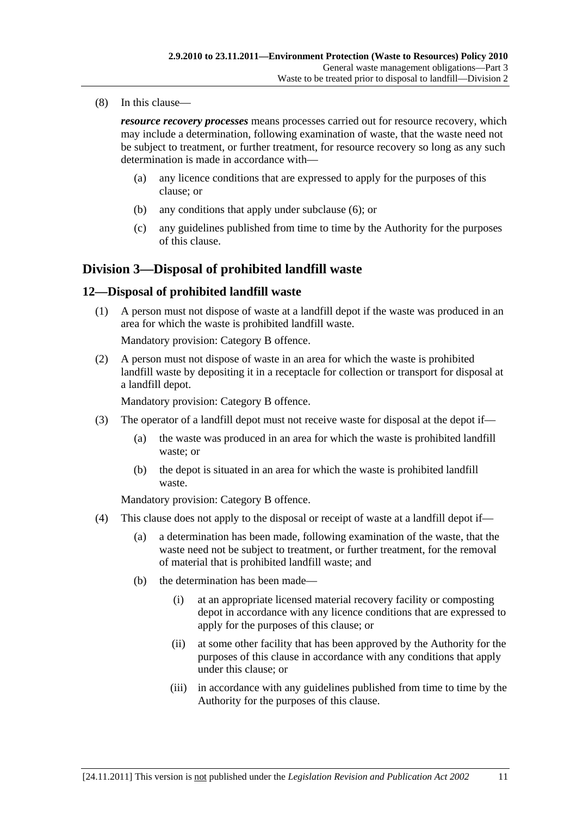<span id="page-10-0"></span>(8) In this clause—

*resource recovery processes* means processes carried out for resource recovery, which may include a determination, following examination of waste, that the waste need not be subject to treatment, or further treatment, for resource recovery so long as any such determination is made in accordance with—

- (a) any licence conditions that are expressed to apply for the purposes of this clause; or
- (b) any conditions that apply under subclause (6); or
- (c) any guidelines published from time to time by the Authority for the purposes of this clause.

## **Division 3—Disposal of prohibited landfill waste**

### **12—Disposal of prohibited landfill waste**

 (1) A person must not dispose of waste at a landfill depot if the waste was produced in an area for which the waste is prohibited landfill waste.

Mandatory provision: Category B offence.

 (2) A person must not dispose of waste in an area for which the waste is prohibited landfill waste by depositing it in a receptacle for collection or transport for disposal at a landfill depot.

Mandatory provision: Category B offence.

- (3) The operator of a landfill depot must not receive waste for disposal at the depot if—
	- (a) the waste was produced in an area for which the waste is prohibited landfill waste; or
	- (b) the depot is situated in an area for which the waste is prohibited landfill waste.

Mandatory provision: Category B offence.

- (4) This clause does not apply to the disposal or receipt of waste at a landfill depot if—
	- (a) a determination has been made, following examination of the waste, that the waste need not be subject to treatment, or further treatment, for the removal of material that is prohibited landfill waste; and
	- (b) the determination has been made—
		- (i) at an appropriate licensed material recovery facility or composting depot in accordance with any licence conditions that are expressed to apply for the purposes of this clause; or
		- (ii) at some other facility that has been approved by the Authority for the purposes of this clause in accordance with any conditions that apply under this clause; or
		- (iii) in accordance with any guidelines published from time to time by the Authority for the purposes of this clause.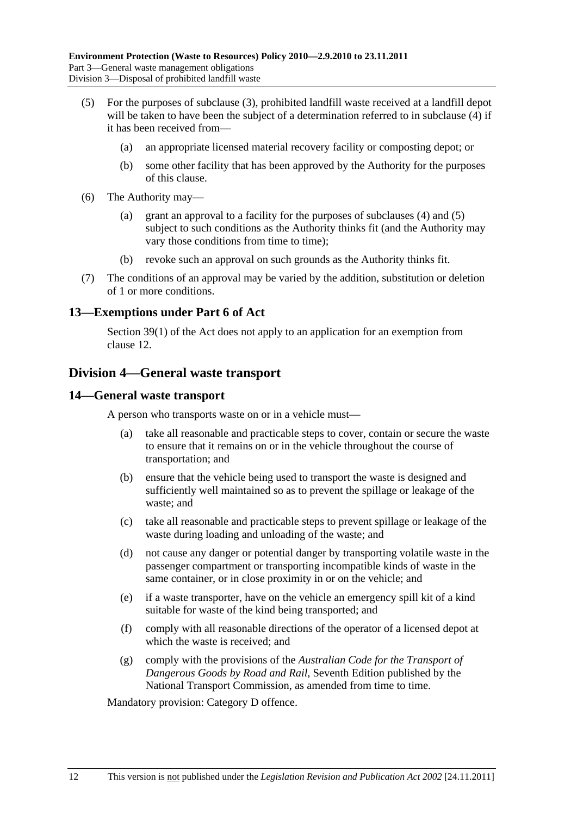- <span id="page-11-0"></span> (5) For the purposes of subclause (3), prohibited landfill waste received at a landfill depot will be taken to have been the subject of a determination referred to in subclause (4) if it has been received from—
	- (a) an appropriate licensed material recovery facility or composting depot; or
	- (b) some other facility that has been approved by the Authority for the purposes of this clause.
- (6) The Authority may—
	- (a) grant an approval to a facility for the purposes of subclauses (4) and (5) subject to such conditions as the Authority thinks fit (and the Authority may vary those conditions from time to time);
	- (b) revoke such an approval on such grounds as the Authority thinks fit.
- (7) The conditions of an approval may be varied by the addition, substitution or deletion of 1 or more conditions.

### **13—Exemptions under Part 6 of Act**

Section 39(1) of the Act does not apply to an application for an exemption from clause 12.

# **Division 4—General waste transport**

#### **14—General waste transport**

A person who transports waste on or in a vehicle must—

- (a) take all reasonable and practicable steps to cover, contain or secure the waste to ensure that it remains on or in the vehicle throughout the course of transportation; and
- (b) ensure that the vehicle being used to transport the waste is designed and sufficiently well maintained so as to prevent the spillage or leakage of the waste; and
- (c) take all reasonable and practicable steps to prevent spillage or leakage of the waste during loading and unloading of the waste; and
- (d) not cause any danger or potential danger by transporting volatile waste in the passenger compartment or transporting incompatible kinds of waste in the same container, or in close proximity in or on the vehicle; and
- (e) if a waste transporter, have on the vehicle an emergency spill kit of a kind suitable for waste of the kind being transported; and
- (f) comply with all reasonable directions of the operator of a licensed depot at which the waste is received; and
- (g) comply with the provisions of the *Australian Code for the Transport of Dangerous Goods by Road and Rail*, Seventh Edition published by the National Transport Commission, as amended from time to time.

Mandatory provision: Category D offence.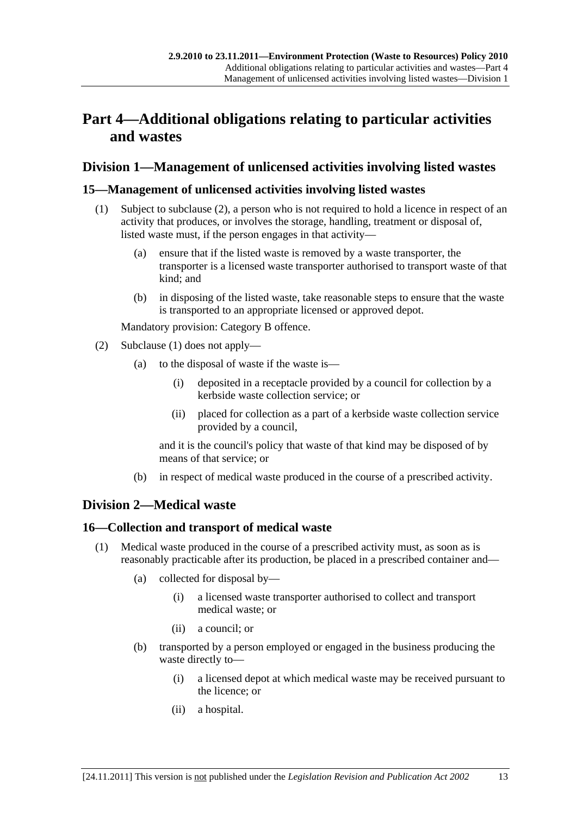# <span id="page-12-0"></span>**Part 4—Additional obligations relating to particular activities and wastes**

# **Division 1—Management of unlicensed activities involving listed wastes**

## **15—Management of unlicensed activities involving listed wastes**

- (1) Subject to subclause (2), a person who is not required to hold a licence in respect of an activity that produces, or involves the storage, handling, treatment or disposal of, listed waste must, if the person engages in that activity—
	- (a) ensure that if the listed waste is removed by a waste transporter, the transporter is a licensed waste transporter authorised to transport waste of that kind; and
	- (b) in disposing of the listed waste, take reasonable steps to ensure that the waste is transported to an appropriate licensed or approved depot.

Mandatory provision: Category B offence.

- (2) Subclause (1) does not apply—
	- (a) to the disposal of waste if the waste is—
		- (i) deposited in a receptacle provided by a council for collection by a kerbside waste collection service; or
		- (ii) placed for collection as a part of a kerbside waste collection service provided by a council,

and it is the council's policy that waste of that kind may be disposed of by means of that service; or

(b) in respect of medical waste produced in the course of a prescribed activity.

# **Division 2—Medical waste**

## **16—Collection and transport of medical waste**

- (1) Medical waste produced in the course of a prescribed activity must, as soon as is reasonably practicable after its production, be placed in a prescribed container and—
	- (a) collected for disposal by—
		- (i) a licensed waste transporter authorised to collect and transport medical waste; or
		- (ii) a council; or
	- (b) transported by a person employed or engaged in the business producing the waste directly to—
		- (i) a licensed depot at which medical waste may be received pursuant to the licence; or
		- (ii) a hospital.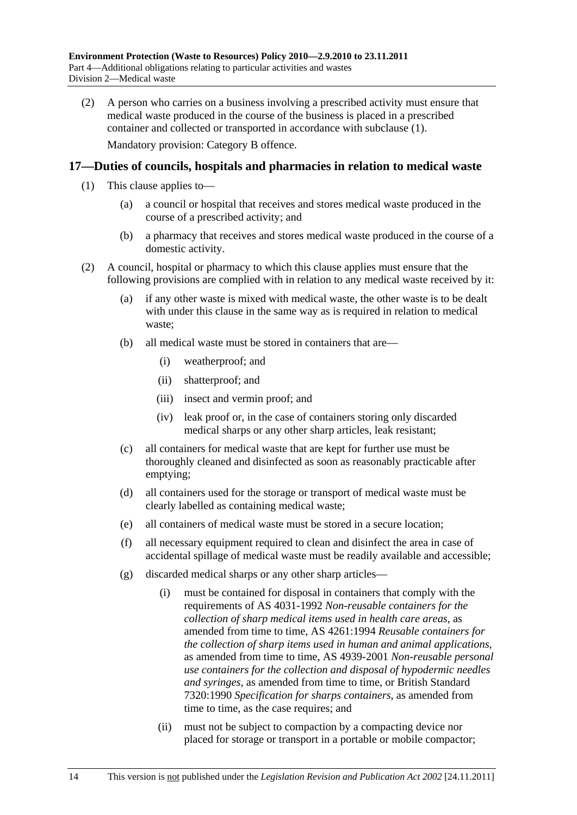<span id="page-13-0"></span> (2) A person who carries on a business involving a prescribed activity must ensure that medical waste produced in the course of the business is placed in a prescribed container and collected or transported in accordance with subclause (1). Mandatory provision: Category B offence.

## **17—Duties of councils, hospitals and pharmacies in relation to medical waste**

- (1) This clause applies to—
	- (a) a council or hospital that receives and stores medical waste produced in the course of a prescribed activity; and
	- (b) a pharmacy that receives and stores medical waste produced in the course of a domestic activity.
- (2) A council, hospital or pharmacy to which this clause applies must ensure that the following provisions are complied with in relation to any medical waste received by it:
	- (a) if any other waste is mixed with medical waste, the other waste is to be dealt with under this clause in the same way as is required in relation to medical waste;
	- (b) all medical waste must be stored in containers that are—
		- (i) weatherproof; and
		- (ii) shatterproof; and
		- (iii) insect and vermin proof; and
		- (iv) leak proof or, in the case of containers storing only discarded medical sharps or any other sharp articles, leak resistant;
	- (c) all containers for medical waste that are kept for further use must be thoroughly cleaned and disinfected as soon as reasonably practicable after emptying;
	- (d) all containers used for the storage or transport of medical waste must be clearly labelled as containing medical waste;
	- (e) all containers of medical waste must be stored in a secure location;
	- (f) all necessary equipment required to clean and disinfect the area in case of accidental spillage of medical waste must be readily available and accessible;
	- (g) discarded medical sharps or any other sharp articles—
		- (i) must be contained for disposal in containers that comply with the requirements of AS 4031-1992 *Non-reusable containers for the collection of sharp medical items used in health care areas*, as amended from time to time, AS 4261:1994 *Reusable containers for the collection of sharp items used in human and animal applications*, as amended from time to time, AS 4939-2001 *Non-reusable personal use containers for the collection and disposal of hypodermic needles and syringes*, as amended from time to time, or British Standard 7320:1990 *Specification for sharps containers*, as amended from time to time, as the case requires; and
		- (ii) must not be subject to compaction by a compacting device nor placed for storage or transport in a portable or mobile compactor;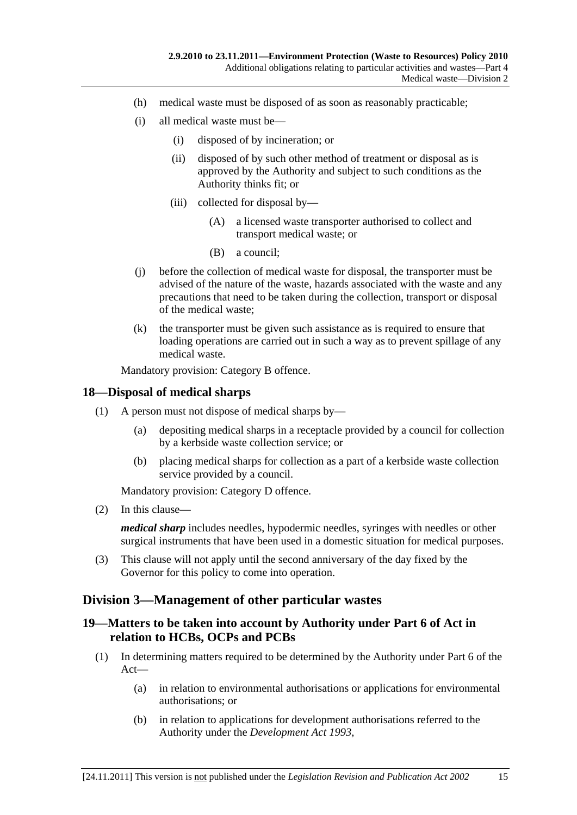- <span id="page-14-0"></span>(h) medical waste must be disposed of as soon as reasonably practicable;
- (i) all medical waste must be—
	- (i) disposed of by incineration; or
	- (ii) disposed of by such other method of treatment or disposal as is approved by the Authority and subject to such conditions as the Authority thinks fit; or
	- (iii) collected for disposal by—
		- (A) a licensed waste transporter authorised to collect and transport medical waste; or
		- (B) a council;
- (j) before the collection of medical waste for disposal, the transporter must be advised of the nature of the waste, hazards associated with the waste and any precautions that need to be taken during the collection, transport or disposal of the medical waste;
- (k) the transporter must be given such assistance as is required to ensure that loading operations are carried out in such a way as to prevent spillage of any medical waste.

Mandatory provision: Category B offence.

### **18—Disposal of medical sharps**

- (1) A person must not dispose of medical sharps by—
	- (a) depositing medical sharps in a receptacle provided by a council for collection by a kerbside waste collection service; or
	- (b) placing medical sharps for collection as a part of a kerbside waste collection service provided by a council.

Mandatory provision: Category D offence.

(2) In this clause—

*medical sharp* includes needles, hypodermic needles, syringes with needles or other surgical instruments that have been used in a domestic situation for medical purposes.

 (3) This clause will not apply until the second anniversary of the day fixed by the Governor for this policy to come into operation.

# **Division 3—Management of other particular wastes**

## **19—Matters to be taken into account by Authority under Part 6 of Act in relation to HCBs, OCPs and PCBs**

- (1) In determining matters required to be determined by the Authority under Part 6 of the Act—
	- (a) in relation to environmental authorisations or applications for environmental authorisations; or
	- (b) in relation to applications for development authorisations referred to the Authority under the *Development Act 1993*,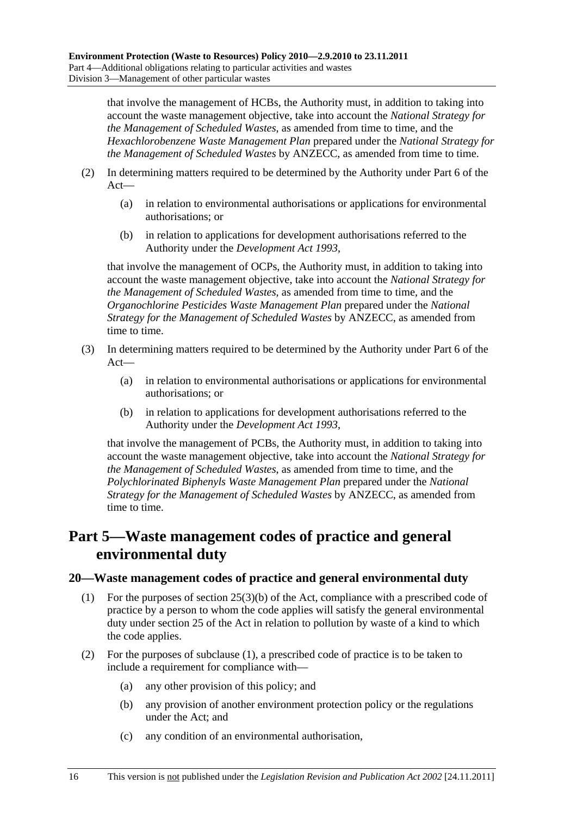<span id="page-15-0"></span>that involve the management of HCBs, the Authority must, in addition to taking into account the waste management objective, take into account the *National Strategy for the Management of Scheduled Wastes*, as amended from time to time, and the *Hexachlorobenzene Waste Management Plan* prepared under the *National Strategy for the Management of Scheduled Wastes* by ANZECC, as amended from time to time.

- (2) In determining matters required to be determined by the Authority under Part 6 of the Act—
	- (a) in relation to environmental authorisations or applications for environmental authorisations; or
	- (b) in relation to applications for development authorisations referred to the Authority under the *Development Act 1993*,

that involve the management of OCPs, the Authority must, in addition to taking into account the waste management objective, take into account the *National Strategy for the Management of Scheduled Wastes*, as amended from time to time, and the *Organochlorine Pesticides Waste Management Plan* prepared under the *National Strategy for the Management of Scheduled Wastes* by ANZECC, as amended from time to time.

- (3) In determining matters required to be determined by the Authority under Part 6 of the Act—
	- (a) in relation to environmental authorisations or applications for environmental authorisations; or
	- (b) in relation to applications for development authorisations referred to the Authority under the *Development Act 1993*,

that involve the management of PCBs, the Authority must, in addition to taking into account the waste management objective, take into account the *National Strategy for the Management of Scheduled Wastes*, as amended from time to time, and the *Polychlorinated Biphenyls Waste Management Plan* prepared under the *National Strategy for the Management of Scheduled Wastes* by ANZECC, as amended from time to time.

# **Part 5—Waste management codes of practice and general environmental duty**

## **20—Waste management codes of practice and general environmental duty**

- (1) For the purposes of section 25(3)(b) of the Act, compliance with a prescribed code of practice by a person to whom the code applies will satisfy the general environmental duty under section 25 of the Act in relation to pollution by waste of a kind to which the code applies.
- (2) For the purposes of subclause (1), a prescribed code of practice is to be taken to include a requirement for compliance with—
	- (a) any other provision of this policy; and
	- (b) any provision of another environment protection policy or the regulations under the Act; and
	- (c) any condition of an environmental authorisation,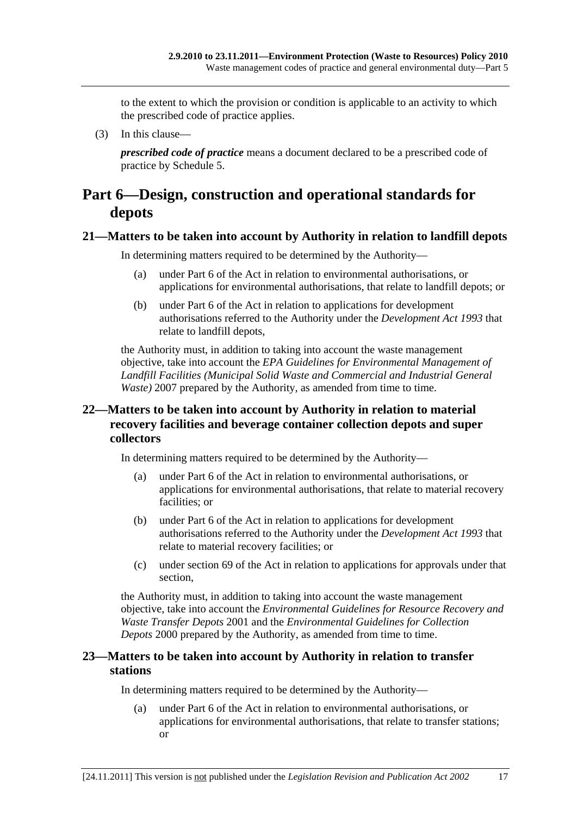<span id="page-16-0"></span>to the extent to which the provision or condition is applicable to an activity to which the prescribed code of practice applies.

(3) In this clause—

*prescribed code of practice* means a document declared to be a prescribed code of practice by Schedule 5.

# **Part 6—Design, construction and operational standards for depots**

### **21—Matters to be taken into account by Authority in relation to landfill depots**

In determining matters required to be determined by the Authority—

- (a) under Part 6 of the Act in relation to environmental authorisations, or applications for environmental authorisations, that relate to landfill depots; or
- (b) under Part 6 of the Act in relation to applications for development authorisations referred to the Authority under the *Development Act 1993* that relate to landfill depots,

the Authority must, in addition to taking into account the waste management objective, take into account the *EPA Guidelines for Environmental Management of Landfill Facilities (Municipal Solid Waste and Commercial and Industrial General Waste*) 2007 prepared by the Authority, as amended from time to time.

## **22—Matters to be taken into account by Authority in relation to material recovery facilities and beverage container collection depots and super collectors**

In determining matters required to be determined by the Authority—

- (a) under Part 6 of the Act in relation to environmental authorisations, or applications for environmental authorisations, that relate to material recovery facilities; or
- (b) under Part 6 of the Act in relation to applications for development authorisations referred to the Authority under the *Development Act 1993* that relate to material recovery facilities; or
- (c) under section 69 of the Act in relation to applications for approvals under that section,

the Authority must, in addition to taking into account the waste management objective, take into account the *Environmental Guidelines for Resource Recovery and Waste Transfer Depots* 2001 and the *Environmental Guidelines for Collection Depots* 2000 prepared by the Authority, as amended from time to time.

## **23—Matters to be taken into account by Authority in relation to transfer stations**

In determining matters required to be determined by the Authority—

 (a) under Part 6 of the Act in relation to environmental authorisations, or applications for environmental authorisations, that relate to transfer stations; or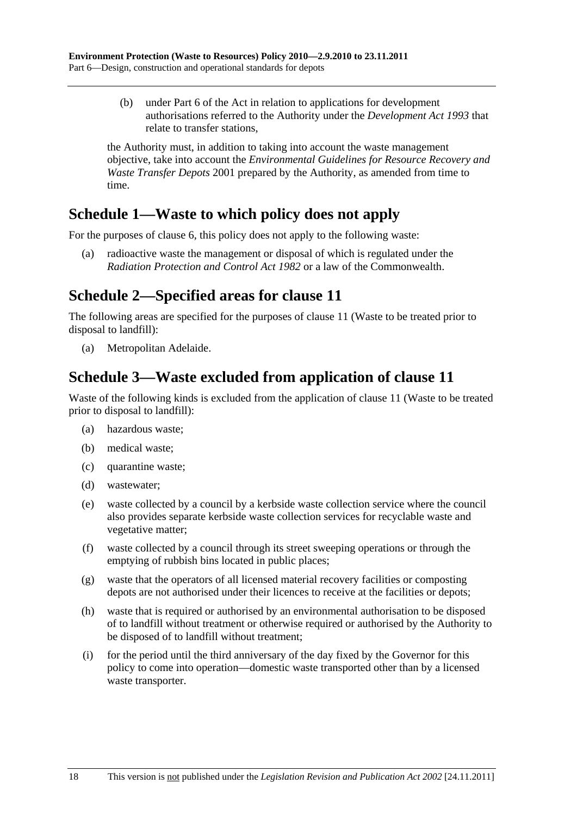<span id="page-17-0"></span> (b) under Part 6 of the Act in relation to applications for development authorisations referred to the Authority under the *Development Act 1993* that relate to transfer stations,

the Authority must, in addition to taking into account the waste management objective, take into account the *Environmental Guidelines for Resource Recovery and Waste Transfer Depots* 2001 prepared by the Authority, as amended from time to time.

# **Schedule 1—Waste to which policy does not apply**

For the purposes of clause 6, this policy does not apply to the following waste:

 (a) radioactive waste the management or disposal of which is regulated under the *Radiation Protection and Control Act 1982* or a law of the Commonwealth.

# **Schedule 2—Specified areas for clause 11**

The following areas are specified for the purposes of clause 11 (Waste to be treated prior to disposal to landfill):

(a) Metropolitan Adelaide.

# **Schedule 3—Waste excluded from application of clause 11**

Waste of the following kinds is excluded from the application of clause 11 (Waste to be treated prior to disposal to landfill):

- (a) hazardous waste;
- (b) medical waste;
- (c) quarantine waste;
- (d) wastewater;
- (e) waste collected by a council by a kerbside waste collection service where the council also provides separate kerbside waste collection services for recyclable waste and vegetative matter;
- (f) waste collected by a council through its street sweeping operations or through the emptying of rubbish bins located in public places;
- (g) waste that the operators of all licensed material recovery facilities or composting depots are not authorised under their licences to receive at the facilities or depots;
- (h) waste that is required or authorised by an environmental authorisation to be disposed of to landfill without treatment or otherwise required or authorised by the Authority to be disposed of to landfill without treatment;
- (i) for the period until the third anniversary of the day fixed by the Governor for this policy to come into operation—domestic waste transported other than by a licensed waste transporter.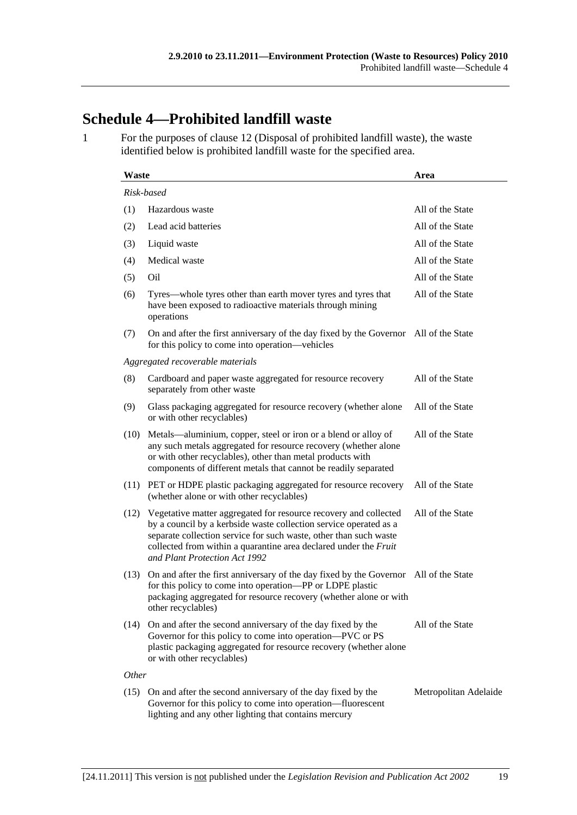# **Schedule 4—Prohibited landfill waste**

1 For the purposes of clause 12 (Disposal of prohibited landfill waste), the waste identified below is prohibited landfill waste for the specified area.

| <b>Waste</b> |                                                                                                                                                                                                                                                                                                                 | Area                  |  |  |
|--------------|-----------------------------------------------------------------------------------------------------------------------------------------------------------------------------------------------------------------------------------------------------------------------------------------------------------------|-----------------------|--|--|
| Risk-based   |                                                                                                                                                                                                                                                                                                                 |                       |  |  |
| (1)          | Hazardous waste                                                                                                                                                                                                                                                                                                 | All of the State      |  |  |
| (2)          | Lead acid batteries                                                                                                                                                                                                                                                                                             | All of the State      |  |  |
| (3)          | Liquid waste                                                                                                                                                                                                                                                                                                    | All of the State      |  |  |
| (4)          | Medical waste                                                                                                                                                                                                                                                                                                   | All of the State      |  |  |
| (5)          | Oil                                                                                                                                                                                                                                                                                                             | All of the State      |  |  |
| (6)          | Tyres—whole tyres other than earth mover tyres and tyres that<br>have been exposed to radioactive materials through mining<br>operations                                                                                                                                                                        | All of the State      |  |  |
| (7)          | On and after the first anniversary of the day fixed by the Governor All of the State<br>for this policy to come into operation—vehicles                                                                                                                                                                         |                       |  |  |
|              | Aggregated recoverable materials                                                                                                                                                                                                                                                                                |                       |  |  |
| (8)          | Cardboard and paper waste aggregated for resource recovery<br>separately from other waste                                                                                                                                                                                                                       | All of the State      |  |  |
| (9)          | Glass packaging aggregated for resource recovery (whether alone<br>or with other recyclables)                                                                                                                                                                                                                   | All of the State      |  |  |
| (10)         | Metals—aluminium, copper, steel or iron or a blend or alloy of<br>any such metals aggregated for resource recovery (whether alone<br>or with other recyclables), other than metal products with<br>components of different metals that cannot be readily separated                                              | All of the State      |  |  |
| (11)         | PET or HDPE plastic packaging aggregated for resource recovery<br>(whether alone or with other recyclables)                                                                                                                                                                                                     | All of the State      |  |  |
| (12)         | Vegetative matter aggregated for resource recovery and collected<br>by a council by a kerbside waste collection service operated as a<br>separate collection service for such waste, other than such waste<br>collected from within a quarantine area declared under the Fruit<br>and Plant Protection Act 1992 | All of the State      |  |  |
| (13)         | On and after the first anniversary of the day fixed by the Governor All of the State<br>for this policy to come into operation—PP or LDPE plastic<br>packaging aggregated for resource recovery (whether alone or with<br>other recyclables)                                                                    |                       |  |  |
| (14)         | On and after the second anniversary of the day fixed by the<br>Governor for this policy to come into operation—PVC or PS<br>plastic packaging aggregated for resource recovery (whether alone<br>or with other recyclables)                                                                                     | All of the State      |  |  |
| Other        |                                                                                                                                                                                                                                                                                                                 |                       |  |  |
|              | (15) On and after the second anniversary of the day fixed by the<br>Governor for this policy to come into operation—fluorescent<br>lighting and any other lighting that contains mercury                                                                                                                        | Metropolitan Adelaide |  |  |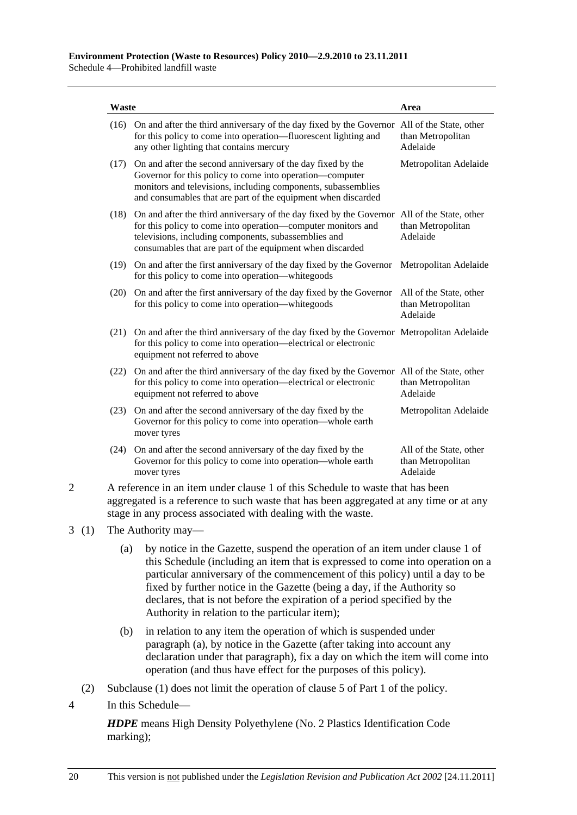| Waste                                                                                                                                                                                                                                   |                                                                                                                                                                                                                                                                                       | Area                                                     |  |
|-----------------------------------------------------------------------------------------------------------------------------------------------------------------------------------------------------------------------------------------|---------------------------------------------------------------------------------------------------------------------------------------------------------------------------------------------------------------------------------------------------------------------------------------|----------------------------------------------------------|--|
| (16)                                                                                                                                                                                                                                    | On and after the third anniversary of the day fixed by the Governor All of the State, other<br>for this policy to come into operation—fluorescent lighting and<br>any other lighting that contains mercury                                                                            | than Metropolitan<br>Adelaide                            |  |
| (17)                                                                                                                                                                                                                                    | On and after the second anniversary of the day fixed by the<br>Governor for this policy to come into operation—computer<br>monitors and televisions, including components, subassemblies<br>and consumables that are part of the equipment when discarded                             | Metropolitan Adelaide                                    |  |
|                                                                                                                                                                                                                                         | (18) On and after the third anniversary of the day fixed by the Governor All of the State, other<br>for this policy to come into operation—computer monitors and<br>televisions, including components, subassemblies and<br>consumables that are part of the equipment when discarded | than Metropolitan<br>Adelaide                            |  |
|                                                                                                                                                                                                                                         | (19) On and after the first anniversary of the day fixed by the Governor<br>for this policy to come into operation—white goods                                                                                                                                                        | Metropolitan Adelaide                                    |  |
|                                                                                                                                                                                                                                         | (20) On and after the first anniversary of the day fixed by the Governor<br>for this policy to come into operation—white goods                                                                                                                                                        | All of the State, other<br>than Metropolitan<br>Adelaide |  |
| (21)                                                                                                                                                                                                                                    | On and after the third anniversary of the day fixed by the Governor Metropolitan Adelaide<br>for this policy to come into operation—electrical or electronic<br>equipment not referred to above                                                                                       |                                                          |  |
|                                                                                                                                                                                                                                         | (22) On and after the third anniversary of the day fixed by the Governor All of the State, other<br>for this policy to come into operation—electrical or electronic<br>equipment not referred to above                                                                                | than Metropolitan<br>Adelaide                            |  |
| (23)                                                                                                                                                                                                                                    | On and after the second anniversary of the day fixed by the<br>Governor for this policy to come into operation—whole earth<br>mover tyres                                                                                                                                             | Metropolitan Adelaide                                    |  |
|                                                                                                                                                                                                                                         | (24) On and after the second anniversary of the day fixed by the<br>Governor for this policy to come into operation—whole earth<br>mover tyres                                                                                                                                        | All of the State, other<br>than Metropolitan<br>Adelaide |  |
| A reference in an item under clause 1 of this Schedule to waste that has been<br>aggregated is a reference to such waste that has been aggregated at any time or at any<br>stage in any process associated with dealing with the waste. |                                                                                                                                                                                                                                                                                       |                                                          |  |

- 3 (1) The Authority may—
	- (a) by notice in the Gazette, suspend the operation of an item under clause 1 of this Schedule (including an item that is expressed to come into operation on a particular anniversary of the commencement of this policy) until a day to be fixed by further notice in the Gazette (being a day, if the Authority so declares, that is not before the expiration of a period specified by the Authority in relation to the particular item);
	- (b) in relation to any item the operation of which is suspended under paragraph (a), by notice in the Gazette (after taking into account any declaration under that paragraph), fix a day on which the item will come into operation (and thus have effect for the purposes of this policy).
	- (2) Subclause (1) does not limit the operation of clause 5 of Part 1 of the policy.
- 4 In this Schedule—

*HDPE* means High Density Polyethylene (No. 2 Plastics Identification Code marking);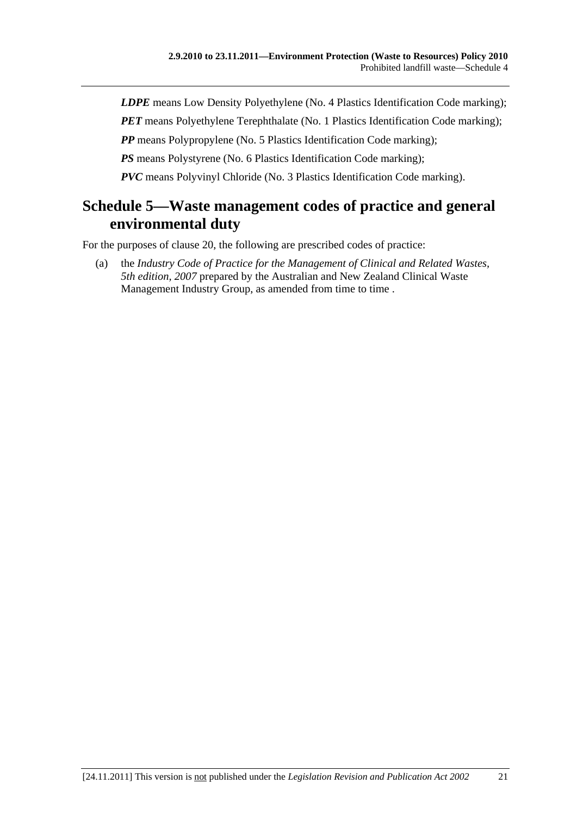*LDPE* means Low Density Polyethylene (No. 4 Plastics Identification Code marking);

*PET* means Polyethylene Terephthalate (No. 1 Plastics Identification Code marking);

*PP* means Polypropylene (No. 5 Plastics Identification Code marking);

*PS* means Polystyrene (No. 6 Plastics Identification Code marking);

*PVC* means Polyvinyl Chloride (No. 3 Plastics Identification Code marking).

# **Schedule 5—Waste management codes of practice and general environmental duty**

For the purposes of clause 20, the following are prescribed codes of practice:

 (a) the *Industry Code of Practice for the Management of Clinical and Related Wastes, 5th edition, 2007* prepared by the Australian and New Zealand Clinical Waste Management Industry Group, as amended from time to time.